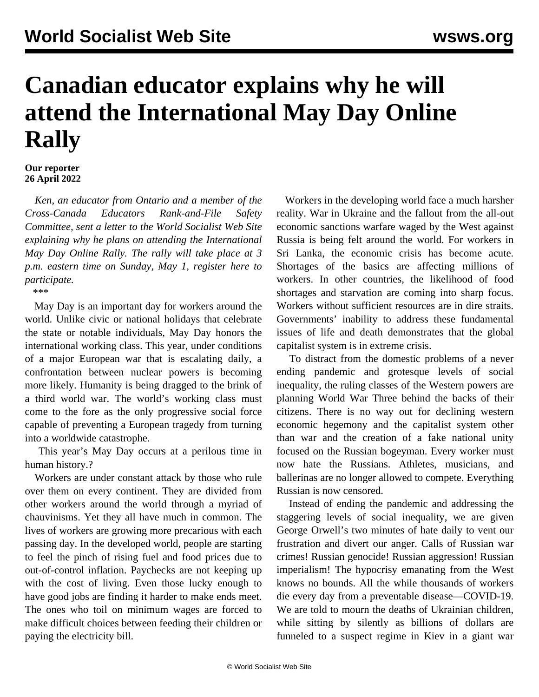## **Canadian educator explains why he will attend the International May Day Online Rally**

## **Our reporter 26 April 2022**

 *Ken, an educator from Ontario and a member of the Cross-Canada Educators Rank-and-File Safety Committee, sent a letter to the World Socialist Web Site explaining why he plans on attending the International May Day Online Rally. The rally will take place at 3 p.m. eastern time on Sunday, May 1, [register here](/en/special/pages/international-mayday-online-rally-2022.html) to participate.*

\*\*\*

 May Day is an important day for workers around the world. Unlike civic or national holidays that celebrate the state or notable individuals, May Day honors the international working class. This year, under conditions of a major European war that is escalating daily, a confrontation between nuclear powers is becoming more likely. Humanity is being dragged to the brink of a third world war. The world's working class must come to the fore as the only progressive social force capable of preventing a European tragedy from turning into a worldwide catastrophe.

 This year's May Day occurs at a perilous time in human history.?

 Workers are under constant attack by those who rule over them on every continent. They are divided from other workers around the world through a myriad of chauvinisms. Yet they all have much in common. The lives of workers are growing more precarious with each passing day. In the developed world, people are starting to feel the pinch of rising fuel and food prices due to out-of-control inflation. Paychecks are not keeping up with the cost of living. Even those lucky enough to have good jobs are finding it harder to make ends meet. The ones who toil on minimum wages are forced to make difficult choices between feeding their children or paying the electricity bill.

 Workers in the developing world face a much harsher reality. War in Ukraine and the fallout from the all-out economic sanctions warfare waged by the West against Russia is being felt around the world. For workers in Sri Lanka, the economic crisis has become acute. Shortages of the basics are affecting millions of workers. In other countries, the likelihood of food shortages and starvation are coming into sharp focus. Workers without sufficient resources are in dire straits. Governments' inability to address these fundamental issues of life and death demonstrates that the global capitalist system is in extreme crisis.

 To distract from the domestic problems of a never ending pandemic and grotesque levels of social inequality, the ruling classes of the Western powers are planning World War Three behind the backs of their citizens. There is no way out for declining western economic hegemony and the capitalist system other than war and the creation of a fake national unity focused on the Russian bogeyman. Every worker must now hate the Russians. Athletes, musicians, and ballerinas are no longer allowed to compete. Everything Russian is now censored.

 Instead of ending the pandemic and addressing the staggering levels of social inequality, we are given George Orwell's two minutes of hate daily to vent our frustration and divert our anger. Calls of Russian war crimes! Russian genocide! Russian aggression! Russian imperialism! The hypocrisy emanating from the West knows no bounds. All the while thousands of workers die every day from a preventable disease—COVID-19. We are told to mourn the deaths of Ukrainian children, while sitting by silently as billions of dollars are funneled to a suspect regime in Kiev in a giant war